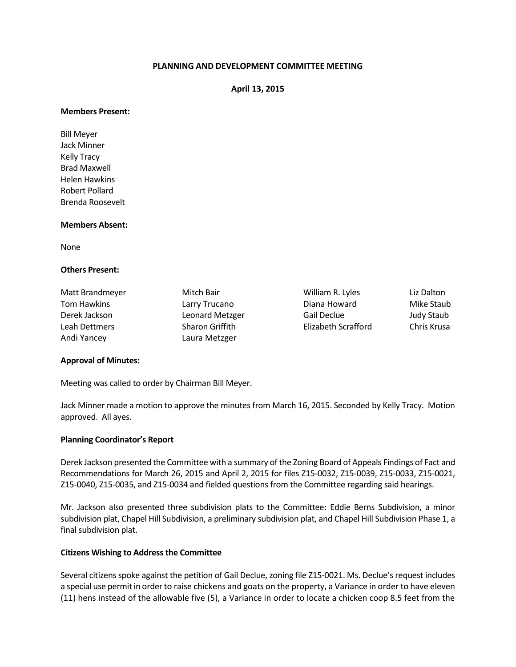## **PLANNING AND DEVELOPMENT COMMITTEE MEETING**

### **April 13, 2015**

#### **Members Present:**

Bill Meyer Jack Minner Kelly Tracy Brad Maxwell Helen Hawkins Robert Pollard Brenda Roosevelt

#### **Members Absent:**

None

## **Others Present:**

| Matt Brandmeyer    |
|--------------------|
| <b>Tom Hawkins</b> |
| Derek Jackson      |
| Leah Dettmers      |
| Andi Yancey        |

Laura Metzger

Mitch Bair **Mitch Bair** William R. Lyles Liz Dalton Larry Trucano **National Diana Howard** Mike Staub Leonard Metzger Gail Declue Judy Staub Sharon Griffith Elizabeth Scrafford Chris Krusa

# **Approval of Minutes:**

Meeting was called to order by Chairman Bill Meyer.

Jack Minner made a motion to approve the minutes from March 16, 2015. Seconded by Kelly Tracy. Motion approved. All ayes.

### **Planning Coordinator's Report**

Derek Jackson presented the Committee with a summary of the Zoning Board of Appeals Findings of Fact and Recommendations for March 26, 2015 and April 2, 2015 for files Z15-0032, Z15-0039, Z15-0033, Z15-0021, Z15-0040, Z15-0035, and Z15-0034 and fielded questions from the Committee regarding said hearings.

Mr. Jackson also presented three subdivision plats to the Committee: Eddie Berns Subdivision, a minor subdivision plat, Chapel Hill Subdivision, a preliminary subdivision plat, and Chapel Hill Subdivision Phase 1, a final subdivision plat.

### **Citizens Wishing to Address the Committee**

Several citizensspoke against the petition of Gail Declue, zoning file Z15-0021. Ms. Declue's request includes a special use permit in order to raise chickens and goats on the property, a Variance in order to have eleven (11) hens instead of the allowable five (5), a Variance in order to locate a chicken coop 8.5 feet from the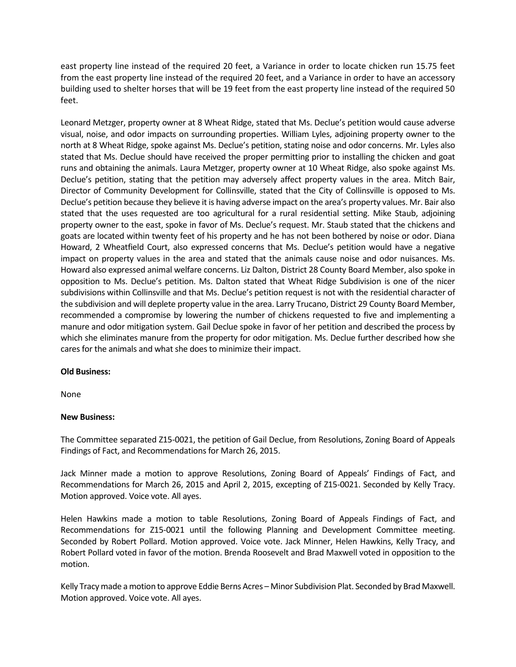east property line instead of the required 20 feet, a Variance in order to locate chicken run 15.75 feet from the east property line instead of the required 20 feet, and a Variance in order to have an accessory building used to shelter horses that will be 19 feet from the east property line instead of the required 50 feet.

Leonard Metzger, property owner at 8 Wheat Ridge, stated that Ms. Declue's petition would cause adverse visual, noise, and odor impacts on surrounding properties. William Lyles, adjoining property owner to the north at 8 Wheat Ridge, spoke against Ms. Declue's petition, stating noise and odor concerns. Mr. Lyles also stated that Ms. Declue should have received the proper permitting prior to installing the chicken and goat runs and obtaining the animals. Laura Metzger, property owner at 10 Wheat Ridge, also spoke against Ms. Declue's petition, stating that the petition may adversely affect property values in the area. Mitch Bair, Director of Community Development for Collinsville, stated that the City of Collinsville is opposed to Ms. Declue's petition because they believe it is having adverse impact on the area's property values. Mr. Bair also stated that the uses requested are too agricultural for a rural residential setting. Mike Staub, adjoining property owner to the east, spoke in favor of Ms. Declue's request. Mr. Staub stated that the chickens and goats are located within twenty feet of his property and he has not been bothered by noise or odor. Diana Howard, 2 Wheatfield Court, also expressed concerns that Ms. Declue's petition would have a negative impact on property values in the area and stated that the animals cause noise and odor nuisances. Ms. Howard also expressed animal welfare concerns. Liz Dalton, District 28 County Board Member, also spoke in opposition to Ms. Declue's petition. Ms. Dalton stated that Wheat Ridge Subdivision is one of the nicer subdivisions within Collinsville and that Ms. Declue's petition request is not with the residential character of the subdivision and will deplete property value in the area. Larry Trucano, District 29 County Board Member, recommended a compromise by lowering the number of chickens requested to five and implementing a manure and odor mitigation system. Gail Declue spoke in favor of her petition and described the process by which she eliminates manure from the property for odor mitigation. Ms. Declue further described how she cares for the animals and what she does to minimize their impact.

# **Old Business:**

None

# **New Business:**

The Committee separated Z15-0021, the petition of Gail Declue, from Resolutions, Zoning Board of Appeals Findings of Fact, and Recommendations for March 26, 2015.

Jack Minner made a motion to approve Resolutions, Zoning Board of Appeals' Findings of Fact, and Recommendations for March 26, 2015 and April 2, 2015, excepting of Z15-0021. Seconded by Kelly Tracy. Motion approved. Voice vote. All ayes.

Helen Hawkins made a motion to table Resolutions, Zoning Board of Appeals Findings of Fact, and Recommendations for Z15-0021 until the following Planning and Development Committee meeting. Seconded by Robert Pollard. Motion approved. Voice vote. Jack Minner, Helen Hawkins, Kelly Tracy, and Robert Pollard voted in favor of the motion. Brenda Roosevelt and Brad Maxwell voted in opposition to the motion.

Kelly Tracymade a motion to approve Eddie Berns Acres – Minor Subdivision Plat. Seconded by Brad Maxwell. Motion approved. Voice vote. All ayes.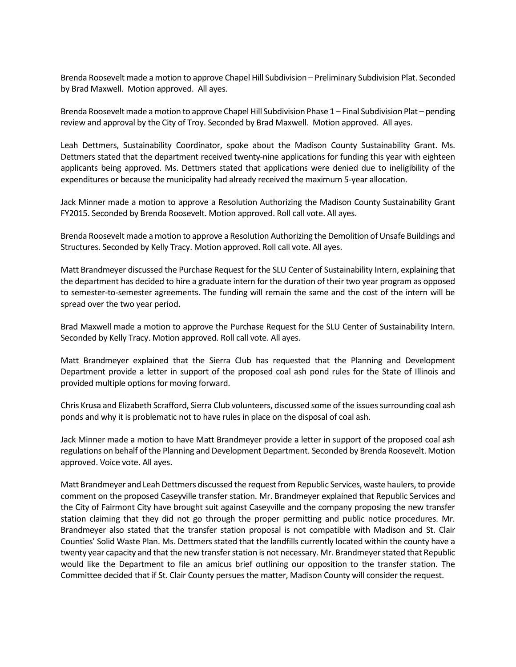Brenda Roosevelt made a motion to approve Chapel Hill Subdivision – Preliminary Subdivision Plat. Seconded by Brad Maxwell. Motion approved. All ayes.

Brenda Roosevelt made a motion to approve Chapel Hill Subdivision Phase 1 – Final Subdivision Plat – pending review and approval by the City of Troy. Seconded by Brad Maxwell. Motion approved. All ayes.

Leah Dettmers, Sustainability Coordinator, spoke about the Madison County Sustainability Grant. Ms. Dettmers stated that the department received twenty-nine applications for funding this year with eighteen applicants being approved. Ms. Dettmers stated that applications were denied due to ineligibility of the expenditures or because the municipality had already received the maximum 5-year allocation.

Jack Minner made a motion to approve a Resolution Authorizing the Madison County Sustainability Grant FY2015. Seconded by Brenda Roosevelt. Motion approved. Roll call vote. All ayes.

Brenda Roosevelt made a motion to approve a Resolution Authorizing the Demolition of Unsafe Buildings and Structures. Seconded by Kelly Tracy. Motion approved. Roll call vote. All ayes.

Matt Brandmeyer discussed the Purchase Request for the SLU Center of Sustainability Intern, explaining that the department has decided to hire a graduate intern for the duration of their two year program as opposed to semester-to-semester agreements. The funding will remain the same and the cost of the intern will be spread over the two year period.

Brad Maxwell made a motion to approve the Purchase Request for the SLU Center of Sustainability Intern. Seconded by Kelly Tracy. Motion approved. Roll call vote. All ayes.

Matt Brandmeyer explained that the Sierra Club has requested that the Planning and Development Department provide a letter in support of the proposed coal ash pond rules for the State of Illinois and provided multiple options for moving forward.

Chris Krusa and Elizabeth Scrafford, Sierra Club volunteers, discussed some of the issues surrounding coal ash ponds and why it is problematic not to have rules in place on the disposal of coal ash.

Jack Minner made a motion to have Matt Brandmeyer provide a letter in support of the proposed coal ash regulations on behalf of the Planning and Development Department. Seconded by Brenda Roosevelt. Motion approved. Voice vote. All ayes.

Matt Brandmeyer and Leah Dettmers discussed the request from Republic Services, waste haulers, to provide comment on the proposed Caseyville transfer station. Mr. Brandmeyer explained that Republic Services and the City of Fairmont City have brought suit against Caseyville and the company proposing the new transfer station claiming that they did not go through the proper permitting and public notice procedures. Mr. Brandmeyer also stated that the transfer station proposal is not compatible with Madison and St. Clair Counties' Solid Waste Plan. Ms. Dettmers stated that the landfills currently located within the county have a twenty year capacity and that the new transfer station is not necessary. Mr. Brandmeyer stated that Republic would like the Department to file an amicus brief outlining our opposition to the transfer station. The Committee decided that if St. Clair County persues the matter, Madison County will consider the request.